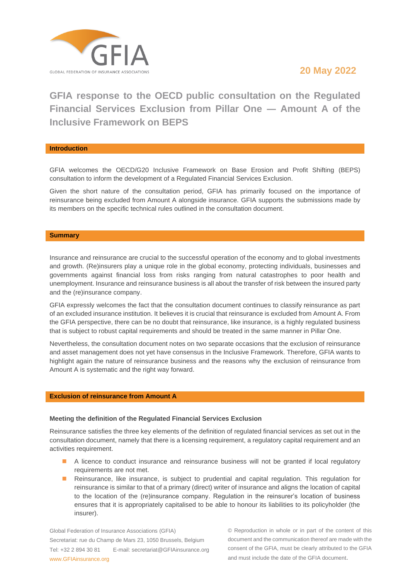

# **20 May 2022**

**GFIA response to the OECD public consultation on the Regulated Financial Services Exclusion from Pillar One ― Amount A of the Inclusive Framework on BEPS**

## **Introduction**

GFIA welcomes the OECD/G20 Inclusive Framework on Base Erosion and Profit Shifting (BEPS) consultation to inform the development of a Regulated Financial Services Exclusion.

Given the short nature of the consultation period, GFIA has primarily focused on the importance of reinsurance being excluded from Amount A alongside insurance. GFIA supports the submissions made by its members on the specific technical rules outlined in the consultation document.

## **Summary**

Insurance and reinsurance are crucial to the successful operation of the economy and to global investments and growth. (Re)insurers play a unique role in the global economy, protecting individuals, businesses and governments against financial loss from risks ranging from natural catastrophes to poor health and unemployment. Insurance and reinsurance business is all about the transfer of risk between the insured party and the (re)insurance company.

GFIA expressly welcomes the fact that the consultation document continues to classify reinsurance as part of an excluded insurance institution. It believes it is crucial that reinsurance is excluded from Amount A. From the GFIA perspective, there can be no doubt that reinsurance, like insurance, is a highly regulated business that is subject to robust capital requirements and should be treated in the same manner in Pillar One.

Nevertheless, the consultation document notes on two separate occasions that the exclusion of reinsurance and asset management does not yet have consensus in the Inclusive Framework. Therefore, GFIA wants to highlight again the nature of reinsurance business and the reasons why the exclusion of reinsurance from Amount A is systematic and the right way forward.

## **Exclusion of reinsurance from Amount A**

## **Meeting the definition of the Regulated Financial Services Exclusion**

Reinsurance satisfies the three key elements of the definition of regulated financial services as set out in the consultation document, namely that there is a licensing requirement, a regulatory capital requirement and an activities requirement.

- A licence to conduct insurance and reinsurance business will not be granted if local regulatory requirements are not met.
- Reinsurance, like insurance, is subject to prudential and capital regulation. This regulation for reinsurance is similar to that of a primary (direct) writer of insurance and aligns the location of capital to the location of the (re)insurance company. Regulation in the reinsurer's location of business ensures that it is appropriately capitalised to be able to honour its liabilities to its policyholder (the insurer).

Global Federation of Insurance Associations (GFIA) Secretariat: rue du Champ de Mars 23, 1050 Brussels, Belgium Tel: +32 2 894 30 81 E-mail: secretariat@GFIAinsurance.org www.GFIAinsurance.org

© Reproduction in whole or in part of the content of this document and the communication thereof are made with the consent of the GFIA, must be clearly attributed to the GFIA and must include the date of the GFIA document.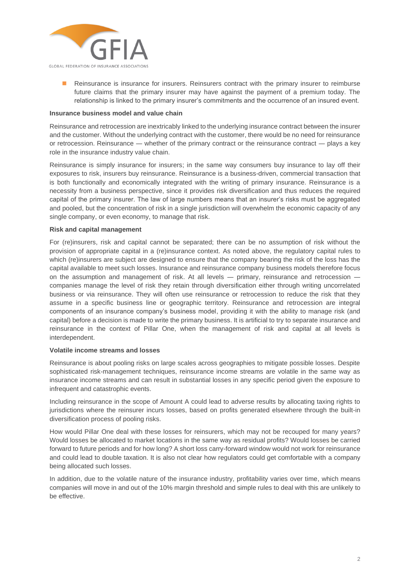

Reinsurance is insurance for insurers. Reinsurers contract with the primary insurer to reimburse future claims that the primary insurer may have against the payment of a premium today. The relationship is linked to the primary insurer's commitments and the occurrence of an insured event.

# **Insurance business model and value chain**

Reinsurance and retrocession are inextricably linked to the underlying insurance contract between the insurer and the customer. Without the underlying contract with the customer, there would be no need for reinsurance or retrocession. Reinsurance ― whether of the primary contract or the reinsurance contract ― plays a key role in the insurance industry value chain.

Reinsurance is simply insurance for insurers; in the same way consumers buy insurance to lay off their exposures to risk, insurers buy reinsurance. Reinsurance is a business-driven, commercial transaction that is both functionally and economically integrated with the writing of primary insurance. Reinsurance is a necessity from a business perspective, since it provides risk diversification and thus reduces the required capital of the primary insurer. The law of large numbers means that an insurer's risks must be aggregated and pooled, but the concentration of risk in a single jurisdiction will overwhelm the economic capacity of any single company, or even economy, to manage that risk.

## **Risk and capital management**

For (re)insurers, risk and capital cannot be separated; there can be no assumption of risk without the provision of appropriate capital in a (re)insurance context. As noted above, the regulatory capital rules to which (re)insurers are subject are designed to ensure that the company bearing the risk of the loss has the capital available to meet such losses. Insurance and reinsurance company business models therefore focus on the assumption and management of risk. At all levels — primary, reinsurance and retrocession companies manage the level of risk they retain through diversification either through writing uncorrelated business or via reinsurance. They will often use reinsurance or retrocession to reduce the risk that they assume in a specific business line or geographic territory. Reinsurance and retrocession are integral components of an insurance company's business model, providing it with the ability to manage risk (and capital) before a decision is made to write the primary business. It is artificial to try to separate insurance and reinsurance in the context of Pillar One, when the management of risk and capital at all levels is interdependent.

## **Volatile income streams and losses**

Reinsurance is about pooling risks on large scales across geographies to mitigate possible losses. Despite sophisticated risk-management techniques, reinsurance income streams are volatile in the same way as insurance income streams and can result in substantial losses in any specific period given the exposure to infrequent and catastrophic events.

Including reinsurance in the scope of Amount A could lead to adverse results by allocating taxing rights to jurisdictions where the reinsurer incurs losses, based on profits generated elsewhere through the built-in diversification process of pooling risks.

How would Pillar One deal with these losses for reinsurers, which may not be recouped for many years? Would losses be allocated to market locations in the same way as residual profits? Would losses be carried forward to future periods and for how long? A short loss carry-forward window would not work for reinsurance and could lead to double taxation. It is also not clear how regulators could get comfortable with a company being allocated such losses.

In addition, due to the volatile nature of the insurance industry, profitability varies over time, which means companies will move in and out of the 10% margin threshold and simple rules to deal with this are unlikely to be effective.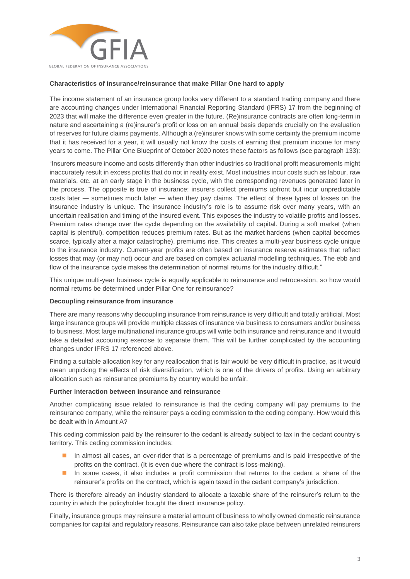

# **Characteristics of insurance/reinsurance that make Pillar One hard to apply**

The income statement of an insurance group looks very different to a standard trading company and there are accounting changes under International Financial Reporting Standard (IFRS) 17 from the beginning of 2023 that will make the difference even greater in the future. (Re)insurance contracts are often long-term in nature and ascertaining a (re)insurer's profit or loss on an annual basis depends crucially on the evaluation of reserves for future claims payments. Although a (re)insurer knows with some certainty the premium income that it has received for a year, it will usually not know the costs of earning that premium income for many years to come. The Pillar One Blueprint of October 2020 notes these factors as follows (see paragraph 133):

"Insurers measure income and costs differently than other industries so traditional profit measurements might inaccurately result in excess profits that do not in reality exist. Most industries incur costs such as labour, raw materials, etc. at an early stage in the business cycle, with the corresponding revenues generated later in the process. The opposite is true of insurance: insurers collect premiums upfront but incur unpredictable costs later ― sometimes much later ― when they pay claims. The effect of these types of losses on the insurance industry is unique. The insurance industry's role is to assume risk over many years, with an uncertain realisation and timing of the insured event. This exposes the industry to volatile profits and losses. Premium rates change over the cycle depending on the availability of capital. During a soft market (when capital is plentiful), competition reduces premium rates. But as the market hardens (when capital becomes scarce, typically after a major catastrophe), premiums rise. This creates a multi-year business cycle unique to the insurance industry. Current-year profits are often based on insurance reserve estimates that reflect losses that may (or may not) occur and are based on complex actuarial modelling techniques. The ebb and flow of the insurance cycle makes the determination of normal returns for the industry difficult."

This unique multi-year business cycle is equally applicable to reinsurance and retrocession, so how would normal returns be determined under Pillar One for reinsurance?

# **Decoupling reinsurance from insurance**

There are many reasons why decoupling insurance from reinsurance is very difficult and totally artificial. Most large insurance groups will provide multiple classes of insurance via business to consumers and/or business to business. Most large multinational insurance groups will write both insurance and reinsurance and it would take a detailed accounting exercise to separate them. This will be further complicated by the accounting changes under IFRS 17 referenced above.

Finding a suitable allocation key for any reallocation that is fair would be very difficult in practice, as it would mean unpicking the effects of risk diversification, which is one of the drivers of profits. Using an arbitrary allocation such as reinsurance premiums by country would be unfair.

## **Further interaction between insurance and reinsurance**

Another complicating issue related to reinsurance is that the ceding company will pay premiums to the reinsurance company, while the reinsurer pays a ceding commission to the ceding company. How would this be dealt with in Amount A?

This ceding commission paid by the reinsurer to the cedant is already subject to tax in the cedant country's territory. This ceding commission includes:

- In almost all cases, an over-rider that is a percentage of premiums and is paid irrespective of the profits on the contract. (It is even due where the contract is loss-making).
- In some cases, it also includes a profit commission that returns to the cedant a share of the reinsurer's profits on the contract, which is again taxed in the cedant company's jurisdiction.

There is therefore already an industry standard to allocate a taxable share of the reinsurer's return to the country in which the policyholder bought the direct insurance policy.

Finally, insurance groups may reinsure a material amount of business to wholly owned domestic reinsurance companies for capital and regulatory reasons. Reinsurance can also take place between unrelated reinsurers